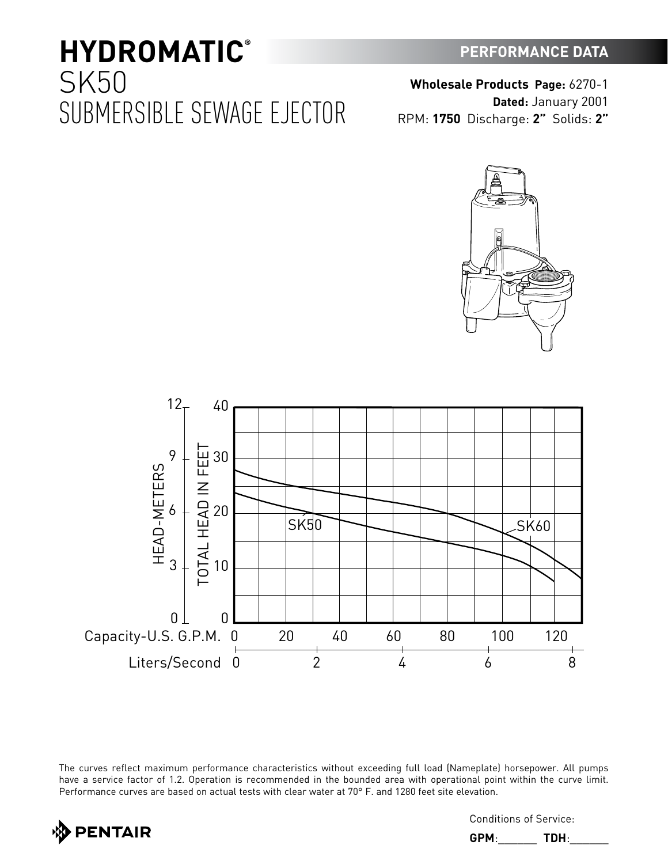40

 $12-$ 

have a service factor of 1.2. Operation is recommended in the bounded area with operational point within the curve limit. Performance curves are based on actual tests with clear water at 70° F. and 1280 feet site elevation.



Conditions of Service:

**GPM**:\_\_\_\_\_\_ **TDH**:\_\_\_\_\_\_



The curves reflect maximum performance characteristics without exceeding full load (Nameplate) horsepower. All pumps



### **PERFORMANCE DATA**

**Wholesale Products Page:** 6270-1 **Dated:** January 2001 RPM: **1750** Discharge: **2"** Solids: **2"**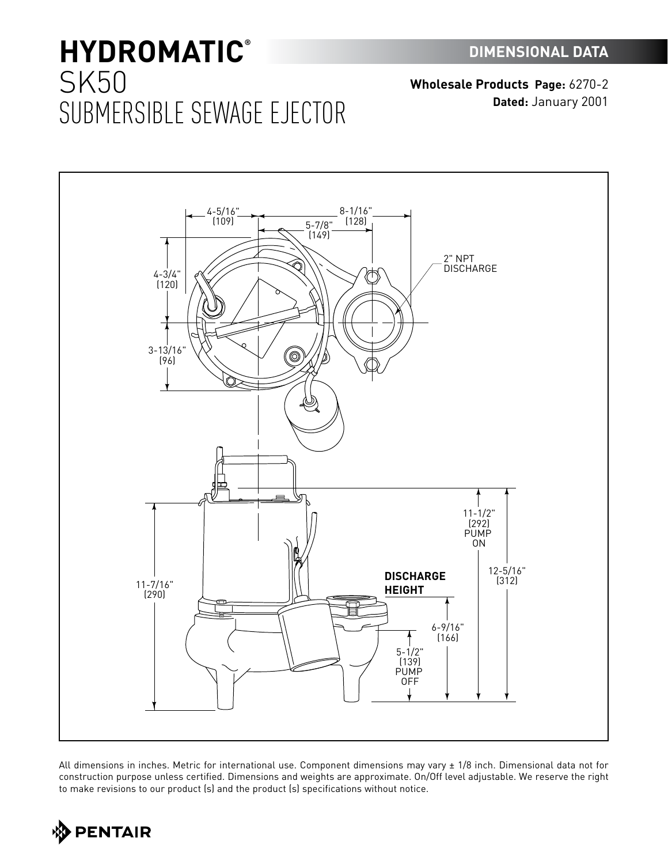**Wholesale Products Page:** 6270-2 **Dated:** January 2001



All dimensions in inches. Metric for international use. Component dimensions may vary ± 1/8 inch. Dimensional data not for construction purpose unless certified. Dimensions and weights are approximate. On/Off level adjustable. We reserve the right to make revisions to our product (s) and the product (s) specifications without notice.

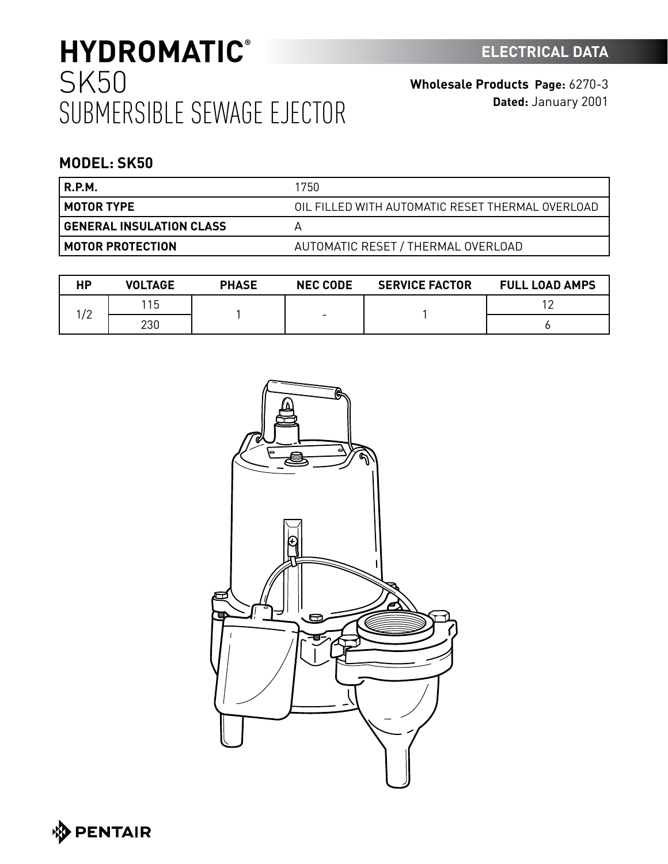**Wholesale Products Page:** 6270-3 **Dated:** January 2001

### **MODEL: SK50**

| 'R.P.M.                  | 1750                                             |
|--------------------------|--------------------------------------------------|
| ' MOTOR TYPE             | OIL FILLED WITH AUTOMATIC RESET THERMAL OVERLOAD |
| GENERAL INSULATION CLASS |                                                  |
| MOTOR PROTECTION         | AUTOMATIC RESET / THERMAL OVERLOAD               |

| НP                     | <b>VOLTAGE</b> | <b>PHASE</b> | <b>NEC CODE</b> | <b>SERVICE FACTOR</b> | <b>FULL LOAD AMPS</b> |
|------------------------|----------------|--------------|-----------------|-----------------------|-----------------------|
| $\sqrt{2}$<br><u>_</u> | 15             |              | -               |                       | 1 <sup>c</sup>        |
|                        | 230            |              |                 |                       |                       |



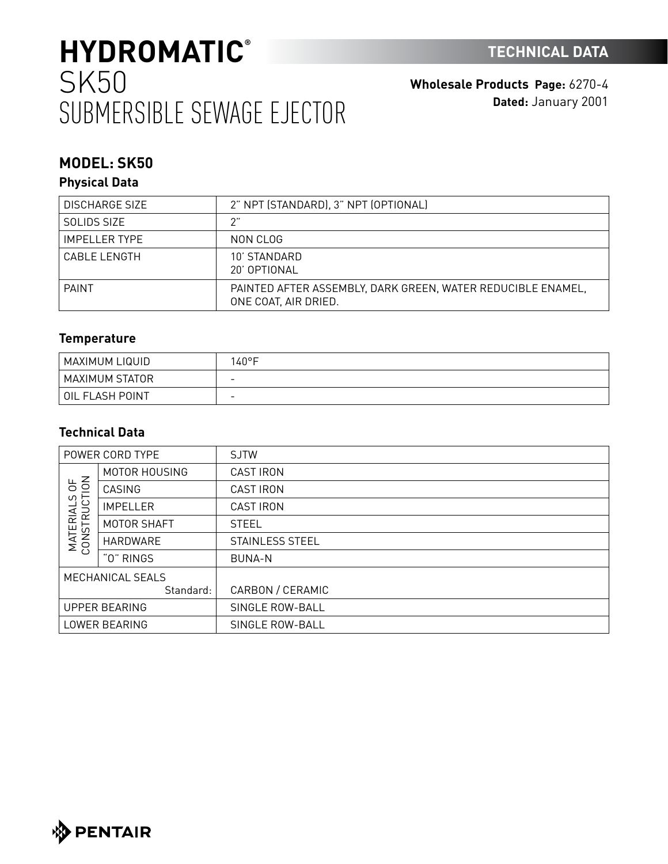**Wholesale Products Page:** 6270-4 **Dated:** January 2001

## **MODEL: SK50**

### **Physical Data**

| <b>DISCHARGE SIZE</b> | 2" NPT (STANDARD), 3" NPT (OPTIONAL)                                                |
|-----------------------|-------------------------------------------------------------------------------------|
| SOLIDS SIZE           |                                                                                     |
| <b>IMPELLER TYPE</b>  | NON CLOG                                                                            |
| CABLE I FNGTH         | 10' STANDARD<br>20' OPTIONAL                                                        |
| <b>PAINT</b>          | PAINTED AFTER ASSEMBLY. DARK GREEN. WATER REDUCIBLE ENAMEL.<br>ONE COAT, AIR DRIED. |

### **Temperature**

| MAXIMUM LIQUID  | $40^{\circ}$ F           |
|-----------------|--------------------------|
| MAXIMUM STATOR  | -                        |
| OIL FLASH POINT | $\overline{\phantom{0}}$ |

### **Technical Data**

| POWER CORD TYPE                                                      |                 | <b>SJTW</b>            |
|----------------------------------------------------------------------|-----------------|------------------------|
| $\leq$<br>$\overline{5}$<br>C)<br>JCT<br><b>MATERIAL</b><br>CONSTRUC | MOTOR HOUSING   | <b>CAST IRON</b>       |
|                                                                      | CASING          | <b>CAST IRON</b>       |
|                                                                      | <b>IMPELLER</b> | <b>CAST IRON</b>       |
|                                                                      | MOTOR SHAFT     | <b>STEEL</b>           |
|                                                                      | HARDWARE        | <b>STAINLESS STEEL</b> |
|                                                                      | "0" RINGS       | <b>BUNA-N</b>          |
| MECHANICAL SEALS                                                     |                 |                        |
|                                                                      | Standard:       | CARBON / CERAMIC       |
| <b>UPPER BEARING</b>                                                 |                 | SINGLE ROW-BALL        |
| LOWER BEARING                                                        |                 | SINGLE ROW-BALL        |

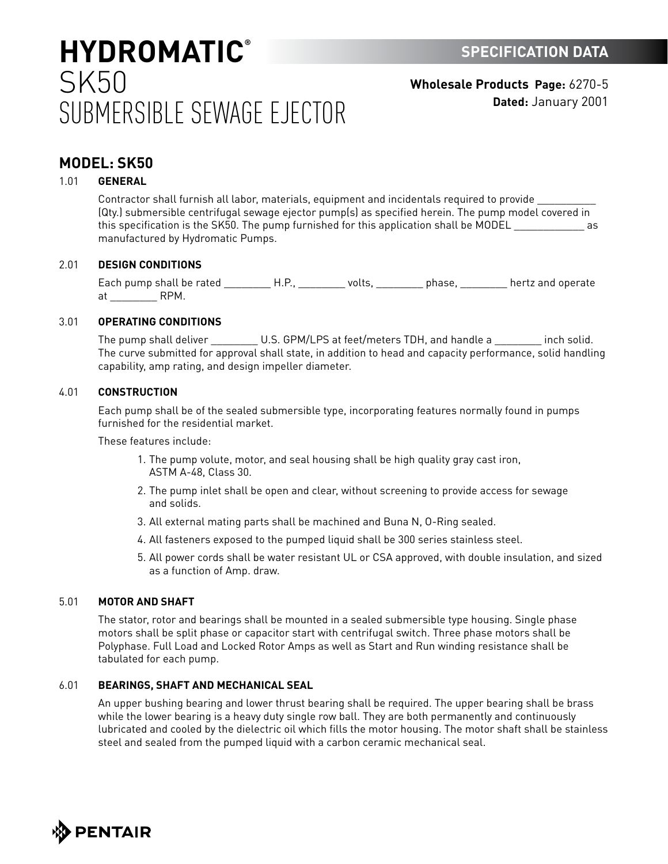**Wholesale Products Page:** 6270-5 **Dated:** January 2001

### **MODEL: SK50**

#### 1.01 **GENERAL**

Contractor shall furnish all labor, materials, equipment and incidentals required to provide \_\_\_\_\_\_\_\_\_\_ (Qty.) submersible centrifugal sewage ejector pump(s) as specified herein. The pump model covered in this specification is the SK50. The pump furnished for this application shall be MODEL and the MODEL manufactured by Hydromatic Pumps.

#### 2.01 **DESIGN CONDITIONS**

Each pump shall be rated \_\_\_\_\_\_\_\_\_\_H.P., \_\_\_\_\_\_\_\_\_ volts, \_\_\_\_\_\_\_\_\_\_ phase, \_\_\_\_\_\_\_\_\_ hertz and operate at RPM.

#### 3.01 **OPERATING CONDITIONS**

The pump shall deliver \_\_\_\_\_\_\_\_\_\_ U.S. GPM/LPS at feet/meters TDH, and handle a \_\_\_\_\_\_\_\_\_ inch solid. The curve submitted for approval shall state, in addition to head and capacity performance, solid handling capability, amp rating, and design impeller diameter.

#### 4.01 **CONSTRUCTION**

Each pump shall be of the sealed submersible type, incorporating features normally found in pumps furnished for the residential market.

These features include:

- 1. The pump volute, motor, and seal housing shall be high quality gray cast iron, ASTM A-48, Class 30.
- 2. The pump inlet shall be open and clear, without screening to provide access for sewage and solids.
- 3. All external mating parts shall be machined and Buna N, O-Ring sealed.
- 4. All fasteners exposed to the pumped liquid shall be 300 series stainless steel.
- 5. All power cords shall be water resistant UL or CSA approved, with double insulation, and sized as a function of Amp. draw.

#### 5.01 **MOTOR AND SHAFT**

The stator, rotor and bearings shall be mounted in a sealed submersible type housing. Single phase motors shall be split phase or capacitor start with centrifugal switch. Three phase motors shall be Polyphase. Full Load and Locked Rotor Amps as well as Start and Run winding resistance shall be tabulated for each pump.

#### 6.01 **BEARINGS, SHAFT AND MECHANICAL SEAL**

An upper bushing bearing and lower thrust bearing shall be required. The upper bearing shall be brass while the lower bearing is a heavy duty single row ball. They are both permanently and continuously lubricated and cooled by the dielectric oil which fills the motor housing. The motor shaft shall be stainless steel and sealed from the pumped liquid with a carbon ceramic mechanical seal.